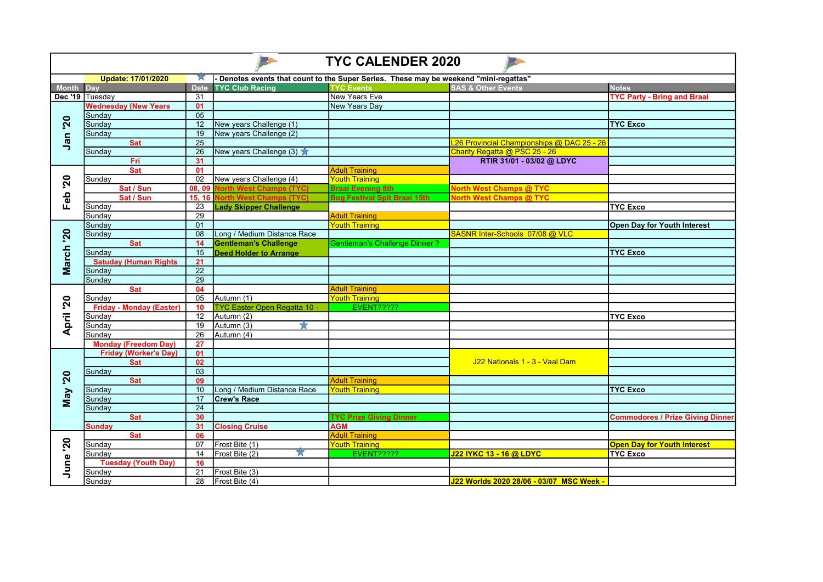| <b>TYC CALENDER 2020</b> |                                        |                       |                                |                                                                                     |                                            |                                         |  |  |  |  |
|--------------------------|----------------------------------------|-----------------------|--------------------------------|-------------------------------------------------------------------------------------|--------------------------------------------|-----------------------------------------|--|--|--|--|
|                          | Update: 17/01/2020                     | W                     |                                | Denotes events that count to the Super Series. These may be weekend "mini-regattas" |                                            |                                         |  |  |  |  |
| Month Day                |                                        | <b>Date</b>           | <b>TYC Club Racing</b>         | <b>TYC Events</b>                                                                   | <b>SAS &amp; Other Events</b>              | <b>Notes</b>                            |  |  |  |  |
| Dec '19 Tuesday          |                                        | 31                    |                                | New Years Eve                                                                       |                                            | <b>TYC Party - Bring and Braai</b>      |  |  |  |  |
|                          | <b>Wednesday (New Years</b>            | 01                    |                                | New Years Day                                                                       |                                            |                                         |  |  |  |  |
| <b>20</b><br>Jan         | Sunday                                 | $\overline{05}$       |                                |                                                                                     |                                            |                                         |  |  |  |  |
|                          | Sunday                                 | $\overline{12}$       | New years Challenge (1)        |                                                                                     |                                            | <b>TYC Exco</b>                         |  |  |  |  |
|                          | Sunday                                 | 19                    | New years Challenge (2)        |                                                                                     |                                            |                                         |  |  |  |  |
|                          | <b>Sat</b>                             | 25                    |                                |                                                                                     | L26 Provincial Championships @ DAC 25 - 26 |                                         |  |  |  |  |
|                          | Sunday                                 | $\overline{26}$       | New years Challenge (3)        |                                                                                     | Charity Regatta @ PSC 25 - 26              |                                         |  |  |  |  |
|                          | <b>Fri</b>                             | 31                    |                                |                                                                                     | RTIR 31/01 - 03/02 @ LDYC                  |                                         |  |  |  |  |
|                          | <b>Sat</b>                             | 01                    |                                | <b>Adult Training</b>                                                               |                                            |                                         |  |  |  |  |
| <b>20</b>                | Sundav                                 | 02                    | New years Challenge (4)        | <b>Youth Training</b>                                                               |                                            |                                         |  |  |  |  |
|                          | Sat / Sun                              | 08.09                 | <b>Vorth West Champs (TYC)</b> | <b>Braai Evening 8th</b>                                                            | <b>North West Champs @ TYC</b>             |                                         |  |  |  |  |
| Feb                      | Sat / Sun                              | 15, 16 <mark> </mark> | <b>North West Champs (TYC)</b> | <b>Bug Festival Spit Braai 15th</b>                                                 | <b>North West Champs @ TYC</b>             |                                         |  |  |  |  |
|                          | Sunday                                 | 23                    | <b>Lady Skipper Challenge</b>  |                                                                                     |                                            | <b>TYC Exco</b>                         |  |  |  |  |
|                          | Sunday                                 | 29                    |                                | <b>Adult Training</b>                                                               |                                            |                                         |  |  |  |  |
|                          | Sunday                                 | 01                    |                                | <b>Youth Training</b>                                                               |                                            | <b>Open Day for Youth Interest</b>      |  |  |  |  |
|                          | Sunday<br><b>Sat</b>                   | 08<br>14              | Long / Medium Distance Race    |                                                                                     | SASNR Inter-Schools 07/08 @ VLC            |                                         |  |  |  |  |
| March '20                |                                        | 15                    | <b>Gentleman's Challenge</b>   | <b>Gentleman's Challenge Dinner?</b>                                                |                                            |                                         |  |  |  |  |
|                          | Sunday<br><b>Satuday (Human Rights</b> | 21                    | <b>Deed Holder to Arrange</b>  |                                                                                     |                                            | <b>TYC Exco</b>                         |  |  |  |  |
|                          | Sunday                                 | $\overline{22}$       |                                |                                                                                     |                                            |                                         |  |  |  |  |
|                          | Sunday                                 | 29                    |                                |                                                                                     |                                            |                                         |  |  |  |  |
|                          | <b>Sat</b>                             | 04                    |                                | <b>Adult Training</b>                                                               |                                            |                                         |  |  |  |  |
|                          | Sunday                                 | 05                    | Autumn (1)                     | <b>Youth Training</b>                                                               |                                            |                                         |  |  |  |  |
| April '20                | <b>Friday - Monday (Easter)</b>        | 10                    | TYC Easter Open Regatta 10 -   | <b>EVENT?????</b>                                                                   |                                            |                                         |  |  |  |  |
|                          | Sunday                                 | 12                    | Autumn (2)                     |                                                                                     |                                            | <b>TYC Exco</b>                         |  |  |  |  |
|                          | Sundav                                 | 19                    | Autumn (3)<br>7.7              |                                                                                     |                                            |                                         |  |  |  |  |
|                          | Sunday                                 | 26                    | Autumn (4)                     |                                                                                     |                                            |                                         |  |  |  |  |
|                          | <b>Monday (Freedom Day)</b>            | 27                    |                                |                                                                                     |                                            |                                         |  |  |  |  |
|                          | <b>Friday (Worker's Day)</b>           | 01                    |                                |                                                                                     |                                            |                                         |  |  |  |  |
|                          | <b>Sat</b>                             | 02                    |                                |                                                                                     | J22 Nationals 1 - 3 - Vaal Dam             |                                         |  |  |  |  |
| 20                       | Sunday                                 | $\overline{03}$       |                                |                                                                                     |                                            |                                         |  |  |  |  |
|                          | <b>Sat</b>                             | 09                    |                                | <b>Adult Training</b>                                                               |                                            |                                         |  |  |  |  |
|                          | Sunday                                 | 10                    | Long / Medium Distance Race    | <b>Youth Training</b>                                                               |                                            | <b>TYC Exco</b>                         |  |  |  |  |
| <b>May</b>               | Sunday                                 | 17                    | <b>Crew's Race</b>             |                                                                                     |                                            |                                         |  |  |  |  |
|                          | Sunday                                 | $\overline{24}$       |                                |                                                                                     |                                            |                                         |  |  |  |  |
|                          | <b>Sat</b>                             | 30                    |                                | <b>TYC Prize Giving Dinner</b>                                                      |                                            | <b>Commodores / Prize Giving Dinner</b> |  |  |  |  |
|                          | <b>Sunday</b>                          | 31                    | <b>Closing Cruise</b>          | <b>AGM</b>                                                                          |                                            |                                         |  |  |  |  |
| $\mathbf{50}$<br>June    | <b>Sat</b>                             | 06                    |                                | <b>Adult Training</b>                                                               |                                            |                                         |  |  |  |  |
|                          | Sunday                                 | 07                    | Frost Bite (1)                 | <b>Youth Training</b>                                                               |                                            | <b>Open Day for Youth Interest</b>      |  |  |  |  |
|                          | Sunday                                 | 14                    | Frost Bite (2)<br>X            | EVENT?????                                                                          | J22 IYKC 13 - 16 @ LDYC                    | <b>TYC Exco</b>                         |  |  |  |  |
|                          | <b>Tuesday (Youth Day)</b>             | 16                    |                                |                                                                                     |                                            |                                         |  |  |  |  |
|                          | Sunday                                 | 21                    | Frost Bite (3)                 |                                                                                     |                                            |                                         |  |  |  |  |
|                          | Sundav                                 | 28                    | Frost Bite (4)                 |                                                                                     | J22 Worlds 2020 28/06 - 03/07 MSC Week -   |                                         |  |  |  |  |